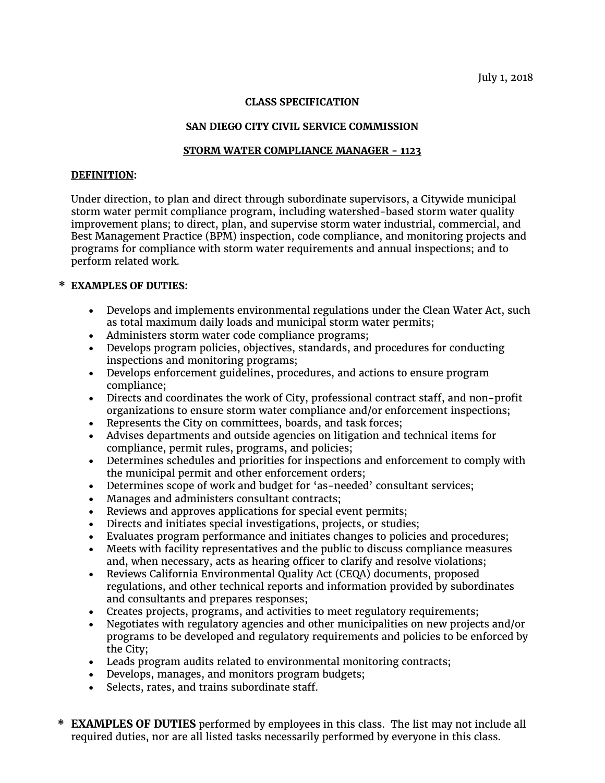# **CLASS SPECIFICATION**

# **SAN DIEGO CITY CIVIL SERVICE COMMISSION**

# **STORM WATER COMPLIANCE MANAGER - 1123**

### **DEFINITION:**

Under direction, to plan and direct through subordinate supervisors, a Citywide municipal storm water permit compliance program, including watershed-based storm water quality improvement plans; to direct, plan, and supervise storm water industrial, commercial, and Best Management Practice (BPM) inspection, code compliance, and monitoring projects and programs for compliance with storm water requirements and annual inspections; and to perform related work.

# **\* EXAMPLES OF DUTIES:**

- Develops and implements environmental regulations under the Clean Water Act, such as total maximum daily loads and municipal storm water permits;
- Administers storm water code compliance programs;
- Develops program policies, objectives, standards, and procedures for conducting inspections and monitoring programs;
- Develops enforcement guidelines, procedures, and actions to ensure program compliance;
- Directs and coordinates the work of City, professional contract staff, and non-profit organizations to ensure storm water compliance and/or enforcement inspections;
- Represents the City on committees, boards, and task forces;
- Advises departments and outside agencies on litigation and technical items for compliance, permit rules, programs, and policies;
- Determines schedules and priorities for inspections and enforcement to comply with the municipal permit and other enforcement orders;
- Determines scope of work and budget for 'as-needed' consultant services;
- Manages and administers consultant contracts;
- Reviews and approves applications for special event permits;
- Directs and initiates special investigations, projects, or studies;
- Evaluates program performance and initiates changes to policies and procedures;
- Meets with facility representatives and the public to discuss compliance measures and, when necessary, acts as hearing officer to clarify and resolve violations;
- Reviews California Environmental Quality Act (CEQA) documents, proposed regulations, and other technical reports and information provided by subordinates and consultants and prepares responses;
- Creates projects, programs, and activities to meet regulatory requirements;
- Negotiates with regulatory agencies and other municipalities on new projects and/or programs to be developed and regulatory requirements and policies to be enforced by the City;
- Leads program audits related to environmental monitoring contracts;
- Develops, manages, and monitors program budgets;
- Selects, rates, and trains subordinate staff.

**\* EXAMPLES OF DUTIES** performed by employees in this class. The list may not include all required duties, nor are all listed tasks necessarily performed by everyone in this class.